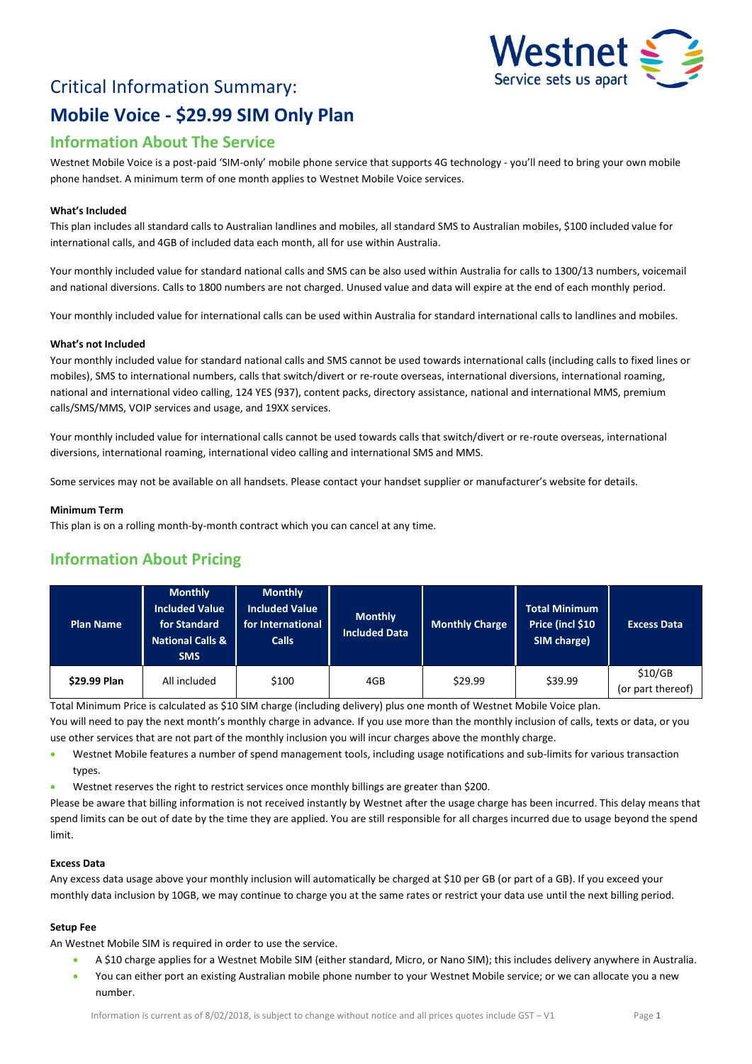# Critical Information Summary: **Mobile Voice - \$29.99 SIM Only Plan**



## **Information About The Service**

Westnet Mobile Voice is a post-paid 'SIM-only' mobile phone service that supports 4G technology - you'll need to bring your own mobile phone handset. A minimum term of one month applies to Westnet Mobile Voice services.

#### **What's Included**

This plan includes all standard calls to Australian landlines and mobiles, all standard SMS to Australian mobiles, \$100 included value for international calls, and 4GB of included data each month, all for use within Australia.

Your monthly included value for standard national calls and SMS can be also used within Australia for calls to 1300/13 numbers, voicemail and national diversions. Calls to 1800 numbers are not charged. Unused value and data will expire at the end of each monthly period.

Your monthly included value for international calls can be used within Australia for standard international calls to landlines and mobiles.

#### **What's not Included**

Your monthly included value for standard national calls and SMS cannot be used towards international calls (including calls to fixed lines or mobiles), SMS to international numbers, calls that switch/divert or re-route overseas, international diversions, international roaming, national and international video calling, 124 YES (937), content packs, directory assistance, national and international MMS, premium calls/SMS/MMS, VOIP services and usage, and 19XX services.

Your monthly included value for international calls cannot be used towards calls that switch/divert or re-route overseas, international diversions, international roaming, international video calling and international SMS and MMS.

Some services may not be available on all handsets. Please contact your handset supplier or manufacturer's website for details.

#### **Minimum Term**

This plan is on a rolling month-by-month contract which you can cancel at any time.

### **Information About Pricing**

| <b>Plan Name</b> | <b>Monthly</b><br>Included Value<br>for Standard<br><b>National Calls &amp;</b><br><b>SMS</b> | <b>Monthly</b><br><b>Included Value</b><br>for International<br><b>Calls</b> | <b>Monthly</b><br>Included Data | <b>Monthly Charge</b> | <b>Total Minimum</b><br>Price (incl \$10<br>SIM charge) | <b>Excess Data</b>           |
|------------------|-----------------------------------------------------------------------------------------------|------------------------------------------------------------------------------|---------------------------------|-----------------------|---------------------------------------------------------|------------------------------|
| \$29.99 Plan     | All included                                                                                  | \$100                                                                        | 4GB                             | \$29.99               | \$39.99                                                 | \$10/GB<br>(or part thereof) |

Total Minimum Price is calculated as \$10 SIM charge (including delivery) plus one month of Westnet Mobile Voice plan.

You will need to pay the next month's monthly charge in advance. If you use more than the monthly inclusion of calls, texts or data, or you use other services that are not part of the monthly inclusion you will incur charges above the monthly charge.

- Westnet Mobile features a number of spend management tools, including usage notifications and sub-limits for various transaction types.
- Westnet reserves the right to restrict services once monthly billings are greater than \$200.

Please be aware that billing information is not received instantly by Westnet after the usage charge has been incurred. This delay means that spend limits can be out of date by the time they are applied. You are still responsible for all charges incurred due to usage beyond the spend limit.

#### **Excess Data**

Any excess data usage above your monthly inclusion will automatically be charged at \$10 per GB (or part of a GB). If you exceed your monthly data inclusion by 10GB, we may continue to charge you at the same rates or restrict your data use until the next billing period.

#### **Setup Fee**

An Westnet Mobile SIM is required in order to use the service.

- A \$10 charge applies for a Westnet Mobile SIM (either standard, Micro, or Nano SIM); this includes delivery anywhere in Australia.
- You can either port an existing Australian mobile phone number to your Westnet Mobile service; or we can allocate you a new number.